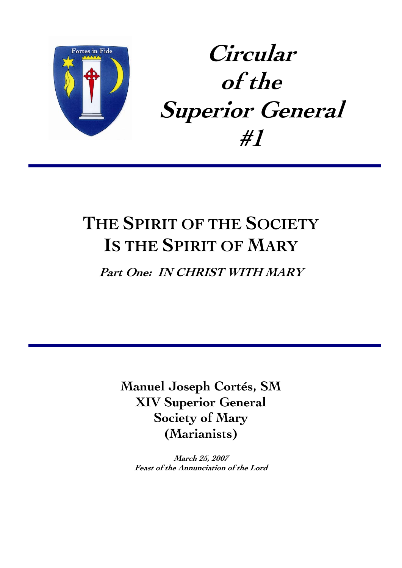

# **Circular of the Superior General #1**

# **THE SPIRIT OF THE SOCIETY IS THE SPIRIT OF MARY**

**Part One: IN CHRIST WITH MARY** 

**Manuel Joseph Cortés, SM XIV Superior General Society of Mary (Marianists)** 

**March 25, 2007 Feast of the Annunciation of the Lord**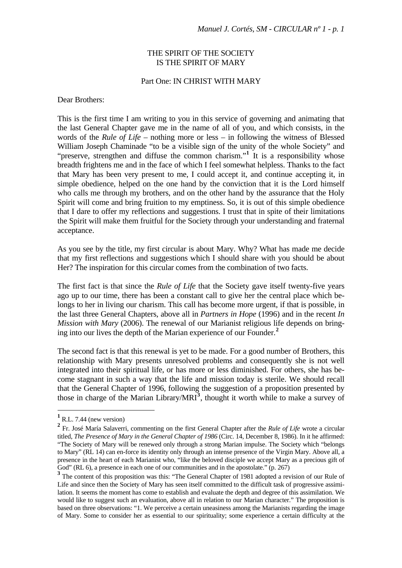#### THE SPIRIT OF THE SOCIETY IS THE SPIRIT OF MARY

#### Part One: IN CHRIST WITH MARY

Dear Brothers:

This is the first time I am writing to you in this service of governing and animating that the last General Chapter gave me in the name of all of you, and which consists, in the words of the *Rule of Life* – nothing more or less – in following the witness of Blessed William Joseph Chaminade "to be a visible sign of the unity of the whole Society" and "preserve, strengthen and diffuse the common charism."<sup>[1](#page-1-0)</sup> It is a responsibility whose breadth frightens me and in the face of which I feel somewhat helpless. Thanks to the fact that Mary has been very present to me, I could accept it, and continue accepting it, in simple obedience, helped on the one hand by the conviction that it is the Lord himself who calls me through my brothers, and on the other hand by the assurance that the Holy Spirit will come and bring fruition to my emptiness. So, it is out of this simple obedience that I dare to offer my reflections and suggestions. I trust that in spite of their limitations the Spirit will make them fruitful for the Society through your understanding and fraternal acceptance.

As you see by the title, my first circular is about Mary. Why? What has made me decide that my first reflections and suggestions which I should share with you should be about Her? The inspiration for this circular comes from the combination of two facts.

The first fact is that since the *Rule of Life* that the Society gave itself twenty-five years ago up to our time, there has been a constant call to give her the central place which belongs to her in living our charism. This call has become more urgent, if that is possible, in the last three General Chapters, above all in *Partners in Hope* (1996) and in the recent *In Mission with Mary* (2006). The renewal of our Marianist religious life depends on bringing into our lives the depth of the Marian experience of our Founder.**[2](#page-1-1)**

The second fact is that this renewal is yet to be made. For a good number of Brothers, this relationship with Mary presents unresolved problems and consequently she is not well integrated into their spiritual life, or has more or less diminished. For others, she has become stagnant in such a way that the life and mission today is sterile. We should recall that the General Chapter of 1996, following the suggestion of a proposition presented by those in charge of the Marian Library/MRI<sup>[3](#page-1-2)</sup>, thought it worth while to make a survey of

<span id="page-1-0"></span>**<sup>1</sup>** R.L. 7.44 (new version)

<span id="page-1-1"></span>**<sup>2</sup>** Fr. José María Salaverri, commenting on the first General Chapter after the *Rule of Life* wrote a circular titled, *The Presence of Mary in the General Chapter of 1986* (Circ. 14, December 8, 1986). In it he affirmed: "The Society of Mary will be renewed only through a strong Marian impulse. The Society which "belongs to Mary" (RL 14) can en-force its identity only through an intense presence of the Virgin Mary. Above all, a presence in the heart of each Marianist who, "like the beloved disciple we accept Mary as a precious gift of God" (RL 6), a presence in each one of our communities and in the apostolate." (p. 267)

<span id="page-1-2"></span><sup>&</sup>lt;sup>3</sup> The content of this proposition was this: "The General Chapter of 1981 adopted a revision of our Rule of Life and since then the Society of Mary has seen itself committed to the difficult task of progressive assimilation. It seems the moment has come to establish and evaluate the depth and degree of this assimilation. We would like to suggest such an evaluation, above all in relation to our Marian character." The proposition is based on three observations: "1. We perceive a certain uneasiness among the Marianists regarding the image of Mary. Some to consider her as essential to our spirituality; some experience a certain difficulty at the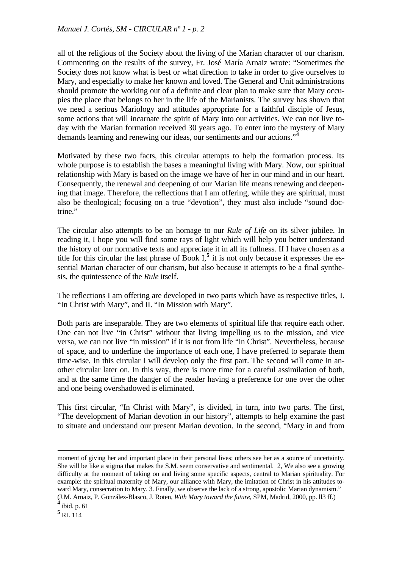all of the religious of the Society about the living of the Marian character of our charism. Commenting on the results of the survey, Fr. José María Arnaiz wrote: "Sometimes the Society does not know what is best or what direction to take in order to give ourselves to Mary, and especially to make her known and loved. The General and Unit administrations should promote the working out of a definite and clear plan to make sure that Mary occupies the place that belongs to her in the life of the Marianists. The survey has shown that we need a serious Mariology and attitudes appropriate for a faithful disciple of Jesus, some actions that will incarnate the spirit of Mary into our activities. We can not live today with the Marian formation received 30 years ago. To enter into the mystery of Mary demands learning and renewing our ideas, our sentiments and our actions."**[4](#page-2-0)**

Motivated by these two facts, this circular attempts to help the formation process. Its whole purpose is to establish the bases a meaningful living with Mary. Now, our spiritual relationship with Mary is based on the image we have of her in our mind and in our heart. Consequently, the renewal and deepening of our Marian life means renewing and deepening that image. Therefore, the reflections that I am offering, while they are spiritual, must also be theological; focusing on a true "devotion", they must also include "sound doctrine."

The circular also attempts to be an homage to our *Rule of Life* on its silver jubilee. In reading it, I hope you will find some rays of light which will help you better understand the history of our normative texts and appreciate it in all its fullness. If I have chosen as a title for this circular the last phrase of Book  $I<sub>1</sub><sup>5</sup>$  $I<sub>1</sub><sup>5</sup>$  $I<sub>1</sub><sup>5</sup>$  it is not only because it expresses the essential Marian character of our charism, but also because it attempts to be a final synthesis, the quintessence of the *Rule* itself.

The reflections I am offering are developed in two parts which have as respective titles, I. "In Christ with Mary", and II. "In Mission with Mary".

Both parts are inseparable. They are two elements of spiritual life that require each other. One can not live "in Christ" without that living impelling us to the mission, and vice versa, we can not live "in mission" if it is not from life "in Christ". Nevertheless, because of space, and to underline the importance of each one, I have preferred to separate them time-wise. In this circular I will develop only the first part. The second will come in another circular later on. In this way, there is more time for a careful assimilation of both, and at the same time the danger of the reader having a preference for one over the other and one being overshadowed is eliminated.

This first circular, "In Christ with Mary", is divided, in turn, into two parts. The first, "The development of Marian devotion in our history", attempts to help examine the past to situate and understand our present Marian devotion. In the second, "Mary in and from

moment of giving her and important place in their personal lives; others see her as a source of uncertainty. She will be like a stigma that makes the S.M. seem conservative and sentimental. 2, We also see a growing difficulty at the moment of taking on and living some specific aspects, central to Marian spirituality. For example: the spiritual maternity of Mary, our alliance with Mary, the imitation of Christ in his attitudes toward Mary, consecration to Mary. 3. Finally, we observe the lack of a strong, apostolic Marian dynamism." (J.M. Arnaiz, P. González-Blasco, J. Roten, *With Mary toward the future*, SPM, Madrid, 2000, pp. ll3 ff.)

<span id="page-2-1"></span><span id="page-2-0"></span>**<sup>4</sup>** ibid. p. 61

**<sup>5</sup>** RL 114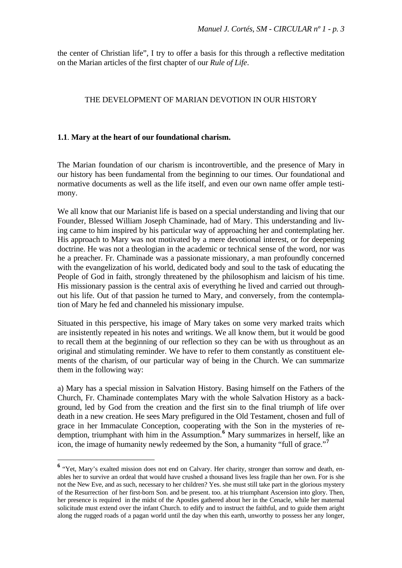the center of Christian life", I try to offer a basis for this through a reflective meditation on the Marian articles of the first chapter of our *Rule of Life*.

#### THE DEVELOPMENT OF MARIAN DEVOTION IN OUR HISTORY

#### **1.1**. **Mary at the heart of our foundational charism.**

The Marian foundation of our charism is incontrovertible, and the presence of Mary in our history has been fundamental from the beginning to our times. Our foundational and normative documents as well as the life itself, and even our own name offer ample testimony.

We all know that our Marianist life is based on a special understanding and living that our Founder, Blessed William Joseph Chaminade, had of Mary. This understanding and living came to him inspired by his particular way of approaching her and contemplating her. His approach to Mary was not motivated by a mere devotional interest, or for deepening doctrine. He was not a theologian in the academic or technical sense of the word, nor was he a preacher. Fr. Chaminade was a passionate missionary, a man profoundly concerned with the evangelization of his world, dedicated body and soul to the task of educating the People of God in faith, strongly threatened by the philosophism and laicism of his time. His missionary passion is the central axis of everything he lived and carried out throughout his life. Out of that passion he turned to Mary, and conversely, from the contemplation of Mary he fed and channeled his missionary impulse.

<span id="page-3-1"></span>Situated in this perspective, his image of Mary takes on some very marked traits which are insistently repeated in his notes and writings. We all know them, but it would be good to recall them at the beginning of our reflection so they can be with us throughout as an original and stimulating reminder. We have to refer to them constantly as constituent elements of the charism, of our particular way of being in the Church. We can summarize them in the following way:

a) Mary has a special mission in Salvation History. Basing himself on the Fathers of the Church, Fr. Chaminade contemplates Mary with the whole Salvation History as a background, led by God from the creation and the first sin to the final triumph of life over death in a new creation. He sees Mary prefigured in the Old Testament, chosen and full of grace in her Immaculate Conception, cooperating with the Son in the mysteries of redemption, triumphant with him in the Assumption.**[6](#page-3-0)** Mary summarizes in herself, like an icon, the image of humanity newly redeemed by the Son, a humanity "full of grace."**[7](#page-3-1)**

<span id="page-3-0"></span><sup>&</sup>lt;sup>6</sup> "Yet, Mary's exalted mission does not end on Calvary. Her charity, stronger than sorrow and death, enables her to survive an ordeal that would have crushed a thousand lives less fragile than her own. For is she not the New Eve, and as such, necessary to her children? Yes. she must still take part in the glorious mystery of the Resurrection of her first-born Son. and be present. too. at his triumphant Ascension into glory. Then, her presence is required in the midst of the Apostles gathered about her in the Cenacle, while her maternal solicitude must extend over the infant Church. to edify and to instruct the faithful, and to guide them aright along the rugged roads of a pagan world until the day when this earth, unworthy to possess her any longer,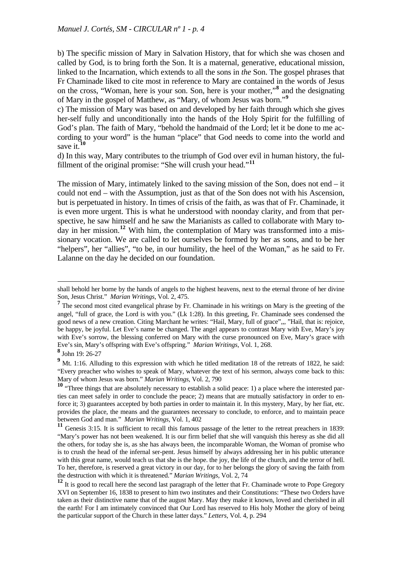b) The specific mission of Mary in Salvation History, that for which she was chosen and called by God, is to bring forth the Son. It is a maternal, generative, educational mission, linked to the Incarnation, which extends to all the sons in *the* Son. The gospel phrases that Fr Chaminade liked to cite most in reference to Mary are contained in the words of Jesus on the cross, "Woman, here is your son. Son, here is your mother,"**[8](#page-4-0)** and the designating of Mary in the gospel of Matthew, as "Mary, of whom Jesus was born."**[9](#page-4-1)**

c) The mission of Mary was based on and developed by her faith through which she gives her-self fully and unconditionally into the hands of the Holy Spirit for the fulfilling of God's plan. The faith of Mary, "behold the handmaid of the Lord; let it be done to me according to your word" is the human "place" that God needs to come into the world and save it.**[10](#page-4-2)**

d) In this way, Mary contributes to the triumph of God over evil in human history, the fulfillment of the original promise: "She will crush your head."**[11](#page-4-3)**

The mission of Mary, intimately linked to the saving mission of the Son, does not end – it could not end – with the Assumption, just as that of the Son does not with his Ascension, but is perpetuated in history. In times of crisis of the faith, as was that of Fr. Chaminade, it is even more urgent. This is what he understood with noonday clarity, and from that perspective, he saw himself and he saw the Marianists as called to collaborate with Mary to-day in her mission.<sup>[12](#page-4-4)</sup> With him, the contemplation of Mary was transformed into a missionary vocation. We are called to let ourselves be formed by her as sons, and to be her "helpers", her "allies", "to be, in our humility, the heel of the Woman," as he said to Fr. Lalanne on the day he decided on our foundation.

shall behold her borne by the hands of angels to the highest heavens, next to the eternal throne of her divine Son, Jesus Christ." *Marian Writings*, Vol. 2, 475.

<sup>&</sup>lt;sup>7</sup> The second most cited evangelical phrase by Fr. Chaminade in his writings on Mary is the greeting of the angel, "full of grace, the Lord is with you." (Lk 1:28). In this greeting, Fr. Chaminade sees condensed the good news of a new creation. Citing Marchant he writes: "Hail, Mary, full of grace",,, "Hail, that is: rejoice, be happy, be joyful. Let Eve's name be changed. The angel appears to contrast Mary with Eve, Mary's joy with Eve's sorrow, the blessing conferred on Mary with the curse pronounced on Eve, Mary's grace with Eve's sin, Mary's offspring with Eve's offspring." *Marian Writings*, Vol. 1, 268.

**<sup>8</sup>** John 19: 26-27

<span id="page-4-1"></span><span id="page-4-0"></span><sup>&</sup>lt;sup>9</sup> Mt. 1:16. Alluding to this expression with which he titled meditation 18 of the retreats of 1822, he said: "Every preacher who wishes to speak of Mary, whatever the text of his sermon, always come back to this: Mary of whom Jesus was born." *Marian Writings*, Vol. 2, 790

<span id="page-4-2"></span><sup>&</sup>lt;sup>10</sup> "Three things that are absolutely necessary to establish a solid peace: 1) a place where the interested parties can meet safely in order to conclude the peace; 2) means that are mutually satisfactory in order to enforce it; 3) guarantees accepted by both parties in order to maintain it. In this mystery, Mary, by her fiat, etc. provides the place, the means and the guarantees necessary to conclude, to enforce, and to maintain peace between God and man." *Marian Writings*, Vol. 1, 402

<span id="page-4-3"></span>**<sup>11</sup>** Genesis 3:15. It is sufficient to recall this famous passage of the letter to the retreat preachers in 1839: "Mary's power has not been weakened. It is our firm belief that she will vanquish this heresy as she did all the others, for today she is, as she has always been, the incomparable Woman, the Woman of promise who is to crush the head of the infernal ser-pent. Jesus himself by always addressing her in his public utterance with this great name, would teach us that she is the hope. the joy, the life of the church, and the terror of hell. To her, therefore, is reserved a great victory in our day, for to her belongs the glory of saving the faith from the destruction with which it is threatened." *Marian Writings*, Vol. 2, 74

<span id="page-4-4"></span>**<sup>12</sup>** It is good to recall here the second last paragraph of the letter that Fr. Chaminade wrote to Pope Gregory XVI on September 16, 1838 to present to him two institutes and their Constitutions: "These two Orders have taken as their distinctive name that of the august Mary. May they make it known, loved and cherished in all the earth! For I am intimately convinced that Our Lord has reserved to His holy Mother the glory of being the particular support of the Church in these latter days." *Letters*, Vol. 4, p. 294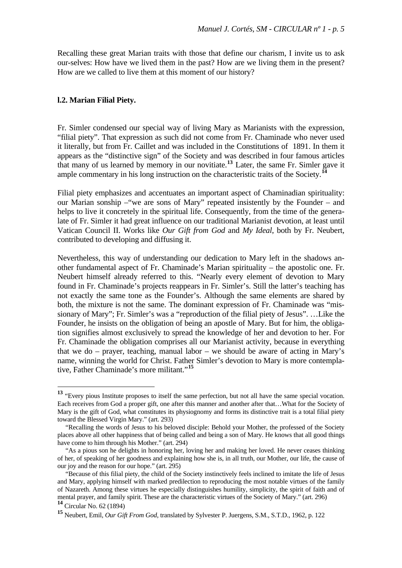Recalling these great Marian traits with those that define our charism, I invite us to ask our-selves: How have we lived them in the past? How are we living them in the present? How are we called to live them at this moment of our history?

#### **l.2. Marian Filial Piety.**

1

Fr. Simler condensed our special way of living Mary as Marianists with the expression, "filial piety". That expression as such did not come from Fr. Chaminade who never used it literally, but from Fr. Caillet and was included in the Constitutions of 1891. In them it appears as the "distinctive sign" of the Society and was described in four famous articles that many of us learned by memory in our novitiate.**[13](#page-5-0)** Later, the same Fr. Simler gave it ample commentary in his long instruction on the characteristic traits of the Society.<sup>1</sup>

Filial piety emphasizes and accentuates an important aspect of Chaminadian spirituality: our Marian sonship –"we are sons of Mary" repeated insistently by the Founder – and helps to live it concretely in the spiritual life. Consequently, from the time of the generalate of Fr. Simler it had great influence on our traditional Marianist devotion, at least until Vatican Council II. Works like *Our Gift from God* and *My Ideal*, both by Fr. Neubert, contributed to developing and diffusing it.

Nevertheless, this way of understanding our dedication to Mary left in the shadows another fundamental aspect of Fr. Chaminade's Marian spirituality – the apostolic one. Fr. Neubert himself already referred to this. "Nearly every element of devotion to Mary found in Fr. Chaminade's projects reappears in Fr. Simler's. Still the latter's teaching has not exactly the same tone as the Founder's. Although the same elements are shared by both, the mixture is not the same. The dominant expression of Fr. Chaminade was "missionary of Mary"; Fr. Simler's was a "reproduction of the filial piety of Jesus". …Like the Founder, he insists on the obligation of being an apostle of Mary. But for him, the obligation signifies almost exclusively to spread the knowledge of her and devotion to her. For Fr. Chaminade the obligation comprises all our Marianist activity, because in everything that we do – prayer, teaching, manual labor – we should be aware of acting in Mary's name, winning the world for Christ. Father Simler's devotion to Mary is more contemplative, Father Chaminade's more militant."**[15](#page-5-2)**

<span id="page-5-0"></span>**<sup>13</sup>** "Every pious Institute proposes to itself the same perfection, but not all have the same special vocation. Each receives from God a proper gift, one after this manner and another after that…What for the Society of Mary is the gift of God, what constitutes its physiognomy and forms its distinctive trait is a total filial piety toward the Blessed Virgin Mary." (art. 293)

 <sup>&</sup>quot;Recalling the words of Jesus to his beloved disciple: Behold your Mother, the professed of the Society places above all other happiness that of being called and being a son of Mary. He knows that all good things have come to him through his Mother." (art. 294)

 <sup>&</sup>quot;As a pious son he delights in honoring her, loving her and making her loved. He never ceases thinking of her, of speaking of her goodness and explaining how she is, in all truth, our Mother, our life, the cause of our joy and the reason for our hope." (art. 295)

 <sup>&</sup>quot;Because of this filial piety, the child of the Society instinctively feels inclined to imitate the life of Jesus and Mary, applying himself with marked predilection to reproducing the most notable virtues of the family of Nazareth. Among these virtues he especially distinguishes humility, simplicity, the spirit of faith and of mental prayer, and family spirit. These are the characteristic virtues of the Society of Mary." (art. 296) **<sup>14</sup>** Circular No. 62 (1894)

<span id="page-5-2"></span><span id="page-5-1"></span>**<sup>15</sup>** Neubert, Emil, *Our Gift From God*, translated by Sylvester P. Juergens, S.M., S.T.D., 1962, p. 122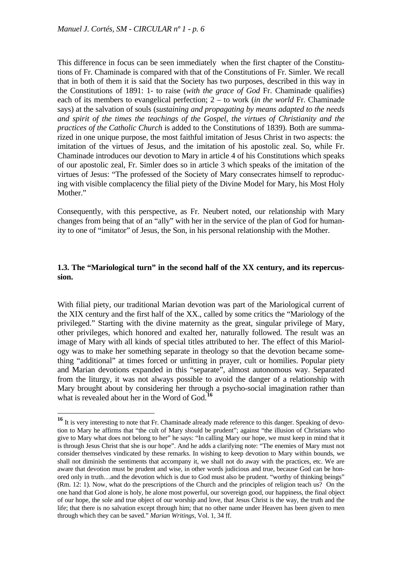<u>.</u>

This difference in focus can be seen immediately when the first chapter of the Constitutions of Fr. Chaminade is compared with that of the Constitutions of Fr. Simler. We recall that in both of them it is said that the Society has two purposes, described in this way in the Constitutions of 1891: 1- to raise (*with the grace of God* Fr. Chaminade qualifies) each of its members to evangelical perfection; 2 – to work (*in the world* Fr. Chaminade says) at the salvation of souls (*sustaining and propagating by means adapted to the needs and spirit of the times the teachings of the Gospel, the virtues of Christianity and the practices of the Catholic Church* is added to the Constitutions of 1839). Both are summarized in one unique purpose, the most faithful imitation of Jesus Christ in two aspects: the imitation of the virtues of Jesus, and the imitation of his apostolic zeal. So, while Fr. Chaminade introduces our devotion to Mary in article 4 of his Constitutions which speaks of our apostolic zeal, Fr. Simler does so in article 3 which speaks of the imitation of the virtues of Jesus: "The professed of the Society of Mary consecrates himself to reproducing with visible complacency the filial piety of the Divine Model for Mary, his Most Holy Mother."

Consequently, with this perspective, as Fr. Neubert noted, our relationship with Mary changes from being that of an "ally" with her in the service of the plan of God for humanity to one of "imitator" of Jesus, the Son, in his personal relationship with the Mother.

#### **1.3. The "Mariological turn" in the second half of the XX century, and its repercussion.**

With filial piety, our traditional Marian devotion was part of the Mariological current of the XIX century and the first half of the XX., called by some critics the "Mariology of the privileged." Starting with the divine maternity as the great, singular privilege of Mary, other privileges, which honored and exalted her, naturally followed. The result was an image of Mary with all kinds of special titles attributed to her. The effect of this Mariology was to make her something separate in theology so that the devotion became something "additional" at times forced or unfitting in prayer, cult or homilies. Popular piety and Marian devotions expanded in this "separate", almost autonomous way. Separated from the liturgy, it was not always possible to avoid the danger of a relationship with Mary brought about by considering her through a psycho-social imagination rather than what is revealed about her in the Word of God.**[16](#page-6-0)**

<span id="page-6-0"></span><sup>&</sup>lt;sup>16</sup> It is very interesting to note that Fr. Chaminade already made reference to this danger. Speaking of devotion to Mary he affirms that "the cult of Mary should be prudent"; against "the illusion of Christians who give to Mary what does not belong to her" he says: "In calling Mary our hope, we must keep in mind that it is through Jesus Christ that she is our hope". And he adds a clarifying note: "The enemies of Mary must not consider themselves vindicated by these remarks. In wishing to keep devotion to Mary within bounds, we shall not diminish the sentiments that accompany it, we shall not do away with the practices, etc. We are aware that devotion must be prudent and wise, in other words judicious and true, because God can be honored only in truth…and the devotion which is due to God must also be prudent. "worthy of thinking beings" (Rm. 12: 1). Now, what do the prescriptions of the Church and the principles of religion teach us? On the one hand that God alone is holy, he alone most powerful, our sovereign good, our happiness, the final object of our hope, the sole and true object of our worship and love, that Jesus Christ is the way, the truth and the life; that there is no salvation except through him; that no other name under Heaven has been given to men through which they can be saved." *Marian Writings*, Vol. 1, 34 ff.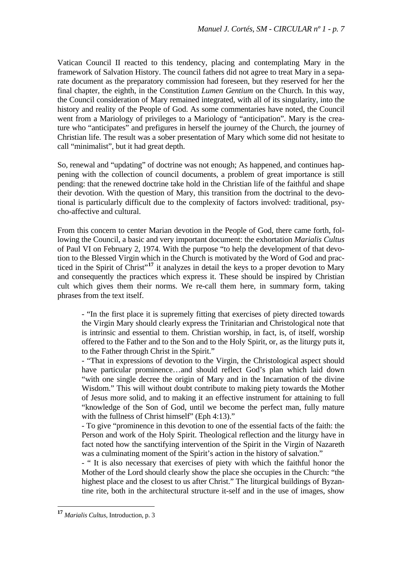Vatican Council II reacted to this tendency, placing and contemplating Mary in the framework of Salvation History. The council fathers did not agree to treat Mary in a separate document as the preparatory commission had foreseen, but they reserved for her the final chapter, the eighth, in the Constitution *Lumen Gentium* on the Church. In this way, the Council consideration of Mary remained integrated, with all of its singularity, into the history and reality of the People of God. As some commentaries have noted, the Council went from a Mariology of privileges to a Mariology of "anticipation". Mary is the creature who "anticipates" and prefigures in herself the journey of the Church, the journey of Christian life. The result was a sober presentation of Mary which some did not hesitate to call "minimalist", but it had great depth.

So, renewal and "updating" of doctrine was not enough; As happened, and continues happening with the collection of council documents, a problem of great importance is still pending: that the renewed doctrine take hold in the Christian life of the faithful and shape their devotion. With the question of Mary, this transition from the doctrinal to the devotional is particularly difficult due to the complexity of factors involved: traditional, psycho-affective and cultural.

From this concern to center Marian devotion in the People of God, there came forth, following the Council, a basic and very important document: the exhortation *Marialis Cultus* of Paul VI on February 2, 1974. With the purpose "to help the development of that devotion to the Blessed Virgin which in the Church is motivated by the Word of God and prac-ticed in the Spirit of Christ<sup>"[17](#page-7-0)</sup> it analyzes in detail the keys to a proper devotion to Mary and consequently the practices which express it. These should be inspired by Christian cult which gives them their norms. We re-call them here, in summary form, taking phrases from the text itself.

- "In the first place it is supremely fitting that exercises of piety directed towards the Virgin Mary should clearly express the Trinitarian and Christological note that is intrinsic and essential to them. Christian worship, in fact, is, of itself, worship offered to the Father and to the Son and to the Holy Spirit, or, as the liturgy puts it, to the Father through Christ in the Spirit."

- "That in expressions of devotion to the Virgin, the Christological aspect should have particular prominence…and should reflect God's plan which laid down "with one single decree the origin of Mary and in the Incarnation of the divine Wisdom." This will without doubt contribute to making piety towards the Mother of Jesus more solid, and to making it an effective instrument for attaining to full "knowledge of the Son of God, until we become the perfect man, fully mature with the fullness of Christ himself" (Eph 4:13)."

- To give "prominence in this devotion to one of the essential facts of the faith: the Person and work of the Holy Spirit. Theological reflection and the liturgy have in fact noted how the sanctifying intervention of the Spirit in the Virgin of Nazareth was a culminating moment of the Spirit's action in the history of salvation."

- " It is also necessary that exercises of piety with which the faithful honor the Mother of the Lord should clearly show the place she occupies in the Church: "the highest place and the closest to us after Christ." The liturgical buildings of Byzantine rite, both in the architectural structure it-self and in the use of images, show

<span id="page-7-0"></span>**<sup>17</sup>** *Marialis Cultus*, Introduction, p. 3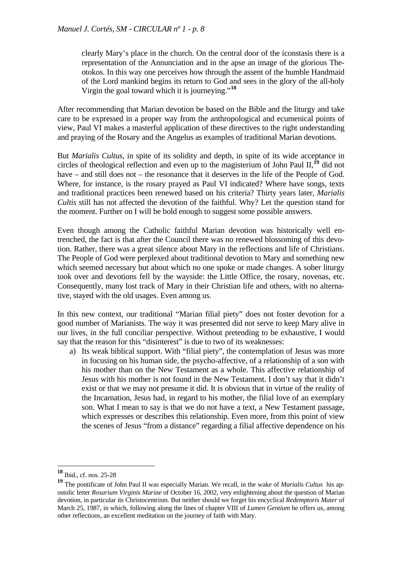clearly Mary's place in the church. On the central door of the iconstasis there is a representation of the Annunciation and in the apse an image of the glorious Theotokos. In this way one perceives how through the assent of the humble Handmaid of the Lord mankind begins its return to God and sees in the glory of the all-holy Virgin the goal toward which it is journeying."**[18](#page-8-0)**

After recommending that Marian devotion be based on the Bible and the liturgy and take care to be expressed in a proper way from the anthropological and ecumenical points of view, Paul VI makes a masterful application of these directives to the right understanding and praying of the Rosary and the Angelus as examples of traditional Marian devotions.

But *Marialis Cultus*, in spite of its solidity and depth, in spite of its wide acceptance in circles of theological reflection and even up to the magisterium of John Paul II,**[19](#page-8-1)** did not have – and still does not – the resonance that it deserves in the life of the People of God. Where, for instance, is the rosary prayed as Paul VI indicated? Where have songs, texts and traditional practices been renewed based on his criteria? Thirty years later, *Marialis Cultis* still has not affected the devotion of the faithful. Why? Let the question stand for the moment. Further on I will be bold enough to suggest some possible answers.

Even though among the Catholic faithful Marian devotion was historically well entrenched, the fact is that after the Council there was no renewed blossoming of this devotion. Rather, there was a great silence about Mary in the reflections and life of Christians. The People of God were perplexed about traditional devotion to Mary and something new which seemed necessary but about which no one spoke or made changes. A sober liturgy took over and devotions fell by the wayside: the Little Office, the rosary, novenas, etc. Consequently, many lost track of Mary in their Christian life and others, with no alternative, stayed with the old usages. Even among us.

In this new context, our traditional "Marian filial piety" does not foster devotion for a good number of Marianists. The way it was presented did not serve to keep Mary alive in our lives, in the full conciliar perspective. Without pretending to be exhaustive, I would say that the reason for this "disinterest" is due to two of its weaknesses:

a) Its weak biblical support. With "filial piety", the contemplation of Jesus was more in focusing on his human side, the psycho-affective, of a relationship of a son with his mother than on the New Testament as a whole. This affective relationship of Jesus with his mother is not found in the New Testament. I don't say that it didn't exist or that we may not presume it did. It is obvious that in virtue of the reality of the Incarnation, Jesus had, in regard to his mother, the filial love of an exemplary son. What I mean to say is that we do not have a text, a New Testament passage, which expresses or describes this relationship. Even more, from this point of view the scenes of Jesus "from a distance" regarding a filial affective dependence on his

<span id="page-8-0"></span>**<sup>18</sup>** Ibid., cf. nos. 25-28

<span id="page-8-1"></span>**<sup>19</sup>** The pontificate of John Paul II was especially Marian. We recall, in the wake of *Marialis Cultus* his apostolic letter *Rosarium Virginis Mariae* of October 16, 2002, very enlightening about the question of Marian devotion, in particular its Christocentrism. But neither should we forget his encyclical *Redemptoris Mater* of March 25, 1987, in which, following along the lines of chapter VIII of *Lumen Gentium* he offers us, among other reflections, an excellent meditation on the journey of faith with Mary.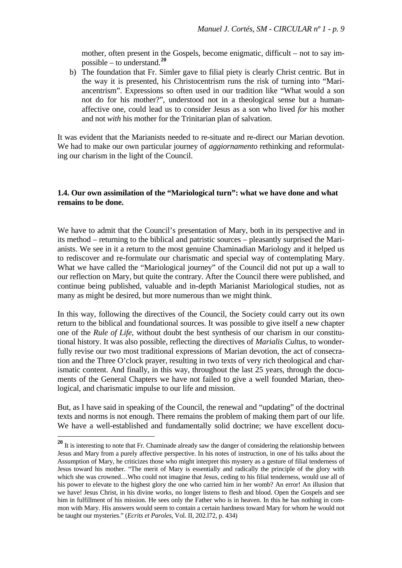mother, often present in the Gospels, become enigmatic, difficult – not to say impossible – to understand.**<sup>20</sup>**

b) The foundation that Fr. Simler gave to filial piety is clearly Christ centric. But in the way it is presented, his Christocentrism runs the risk of turning into "Mariancentrism". Expressions so often used in our tradition like "What would a son not do for his mother?", understood not in a theological sense but a humanaffective one, could lead us to consider Jesus as a son who lived *for* his mother and not *with* his mother for the Trinitarian plan of salvation.

It was evident that the Marianists needed to re-situate and re-direct our Marian devotion. We had to make our own particular journey of *aggiornamento* rethinking and reformulating our charism in the light of the Council.

#### **1.4. Our own assimilation of the "Mariological turn": what we have done and what remains to be done.**

We have to admit that the Council's presentation of Mary, both in its perspective and in its method – returning to the biblical and patristic sources – pleasantly surprised the Marianists. We see in it a return to the most genuine Chaminadian Mariology and it helped us to rediscover and re-formulate our charismatic and special way of contemplating Mary. What we have called the "Mariological journey" of the Council did not put up a wall to our reflection on Mary, but quite the contrary. After the Council there were published, and continue being published, valuable and in-depth Marianist Mariological studies, not as many as might be desired, but more numerous than we might think.

In this way, following the directives of the Council, the Society could carry out its own return to the biblical and foundational sources. It was possible to give itself a new chapter one of the *Rule of Life*, without doubt the best synthesis of our charism in our constitutional history. It was also possible, reflecting the directives of *Marialis Cultus*, to wonderfully revise our two most traditional expressions of Marian devotion, the act of consecration and the Three O'clock prayer, resulting in two texts of very rich theological and charismatic content. And finally, in this way, throughout the last 25 years, through the documents of the General Chapters we have not failed to give a well founded Marian, theological, and charismatic impulse to our life and mission.

But, as I have said in speaking of the Council, the renewal and "updating" of the doctrinal texts and norms is not enough. There remains the problem of making them part of our life. We have a well-established and fundamentally solid doctrine; we have excellent docu-

<u>.</u>

**<sup>20</sup>** It is interesting to note that Fr. Chaminade already saw the danger of considering the relationship between Jesus and Mary from a purely affective perspective. In his notes of instruction, in one of his talks about the Assumption of Mary, he criticizes those who might interpret this mystery as a gesture of filial tenderness of Jesus toward his mother. "The merit of Mary is essentially and radically the principle of the glory with which she was crowned...Who could not imagine that Jesus, ceding to his filial tenderness, would use all of his power to elevate to the highest glory the one who carried him in her womb? An error! An illusion that we have! Jesus Christ, in his divine works, no longer listens to flesh and blood. Open the Gospels and see him in fulfillment of his mission. He sees only the Father who is in heaven. In this he has nothing in common with Mary. His answers would seem to contain a certain hardness toward Mary for whom he would not be taught our mysteries." (*Ecrits et Paroles*, Vol. II, 202.l72, p. 434)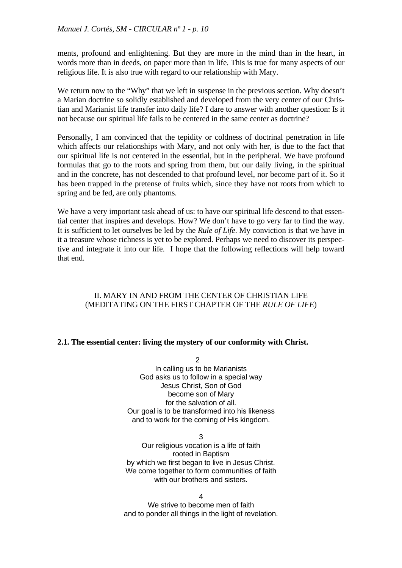ments, profound and enlightening. But they are more in the mind than in the heart, in words more than in deeds, on paper more than in life. This is true for many aspects of our religious life. It is also true with regard to our relationship with Mary.

We return now to the "Why" that we left in suspense in the previous section. Why doesn't a Marian doctrine so solidly established and developed from the very center of our Christian and Marianist life transfer into daily life? I dare to answer with another question: Is it not because our spiritual life fails to be centered in the same center as doctrine?

Personally, I am convinced that the tepidity or coldness of doctrinal penetration in life which affects our relationships with Mary, and not only with her, is due to the fact that our spiritual life is not centered in the essential, but in the peripheral. We have profound formulas that go to the roots and spring from them, but our daily living, in the spiritual and in the concrete, has not descended to that profound level, nor become part of it. So it has been trapped in the pretense of fruits which, since they have not roots from which to spring and be fed, are only phantoms.

We have a very important task ahead of us: to have our spiritual life descend to that essential center that inspires and develops. How? We don't have to go very far to find the way. It is sufficient to let ourselves be led by the *Rule of Life*. My conviction is that we have in it a treasure whose richness is yet to be explored. Perhaps we need to discover its perspective and integrate it into our life. I hope that the following reflections will help toward that end.

# II. MARY IN AND FROM THE CENTER OF CHRISTIAN LIFE (MEDITATING ON THE FIRST CHAPTER OF THE *RULE OF LIFE*)

# **2.1. The essential center: living the mystery of our conformity with Christ.**

 $\mathcal{D}$ In calling us to be Marianists God asks us to follow in a special way Jesus Christ, Son of God become son of Mary for the salvation of all. Our goal is to be transformed into his likeness and to work for the coming of His kingdom.

3 Our religious vocation is a life of faith rooted in Baptism by which we first began to live in Jesus Christ. We come together to form communities of faith with our brothers and sisters.

4 We strive to become men of faith and to ponder all things in the light of revelation.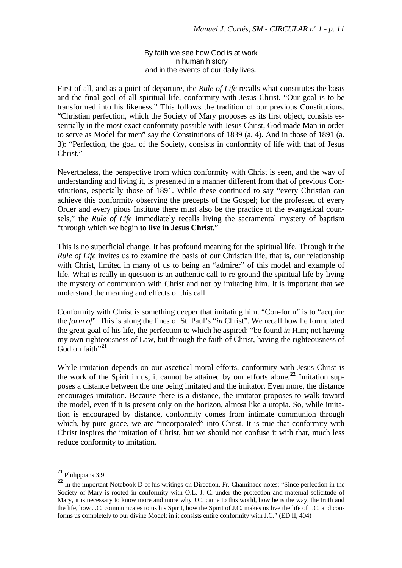By faith we see how God is at work in human history and in the events of our daily lives.

First of all, and as a point of departure, the *Rule of Life* recalls what constitutes the basis and the final goal of all spiritual life, conformity with Jesus Christ. "Our goal is to be transformed into his likeness." This follows the tradition of our previous Constitutions. "Christian perfection, which the Society of Mary proposes as its first object, consists essentially in the most exact conformity possible with Jesus Christ, God made Man in order to serve as Model for men" say the Constitutions of 1839 (a. 4). And in those of 1891 (a. 3): "Perfection, the goal of the Society, consists in conformity of life with that of Jesus Christ."

Nevertheless, the perspective from which conformity with Christ is seen, and the way of understanding and living it, is presented in a manner different from that of previous Constitutions, especially those of 1891. While these continued to say "every Christian can achieve this conformity observing the precepts of the Gospel; for the professed of every Order and every pious Institute there must also be the practice of the evangelical counsels," the *Rule of Life* immediately recalls living the sacramental mystery of baptism "through which we begin **to live in Jesus Christ.**"

This is no superficial change. It has profound meaning for the spiritual life. Through it the *Rule of Life* invites us to examine the basis of our Christian life, that is, our relationship with Christ, limited in many of us to being an "admirer" of this model and example of life. What is really in question is an authentic call to re-ground the spiritual life by living the mystery of communion with Christ and not by imitating him. It is important that we understand the meaning and effects of this call.

Conformity with Christ is something deeper that imitating him. "Con-form" is to "acquire the *form of*". This is along the lines of St. Paul's "*in* Christ". We recall how he formulated the great goal of his life, the perfection to which he aspired: "be found *in* Him; not having my own righteousness of Law, but through the faith of Christ, having the righteousness of God on faith"<sup>[21](#page-11-0)</sup>

While imitation depends on our ascetical-moral efforts, conformity with Jesus Christ is the work of the Spirit in us; it cannot be attained by our efforts alone.**[22](#page-11-1)** Imitation supposes a distance between the one being imitated and the imitator. Even more, the distance encourages imitation. Because there is a distance, the imitator proposes to walk toward the model, even if it is present only on the horizon, almost like a utopia. So, while imitation is encouraged by distance, conformity comes from intimate communion through which, by pure grace, we are "incorporated" into Christ. It is true that conformity with Christ inspires the imitation of Christ, but we should not confuse it with that, much less reduce conformity to imitation.

**<sup>21</sup>** Philippians 3:9

<span id="page-11-1"></span><span id="page-11-0"></span><sup>&</sup>lt;sup>22</sup> In the important Notebook D of his writings on Direction, Fr. Chaminade notes: "Since perfection in the Society of Mary is rooted in conformity with O.L. J. C. under the protection and maternal solicitude of Mary, it is necessary to know more and more why J.C. came to this world, how he is the way, the truth and the life, how J.C. communicates to us his Spirit, how the Spirit of J.C. makes us live the life of J.C. and conforms us completely to our divine Model: in it consists entire conformity with J.C." (ED II, 404)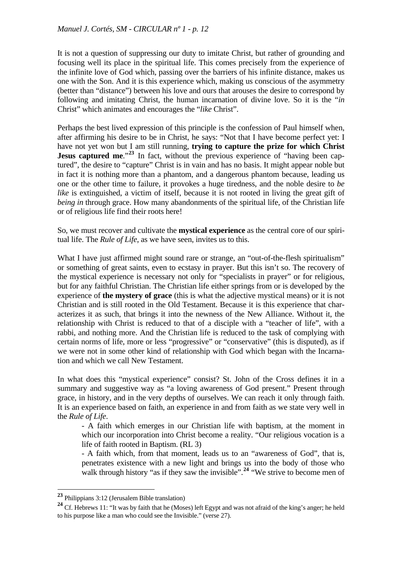It is not a question of suppressing our duty to imitate Christ, but rather of grounding and focusing well its place in the spiritual life. This comes precisely from the experience of the infinite love of God which, passing over the barriers of his infinite distance, makes us one with the Son. And it is this experience which, making us conscious of the asymmetry (better than "distance") between his love and ours that arouses the desire to correspond by following and imitating Christ, the human incarnation of divine love. So it is the "*in* Christ" which animates and encourages the "*like* Christ".

Perhaps the best lived expression of this principle is the confession of Paul himself when, after affirming his desire to be in Christ, he says: "Not that I have become perfect yet: I have not yet won but I am still running, **trying to capture the prize for which Christ Jesus captured me."<sup>[23](#page-12-0)</sup>** In fact, without the previous experience of "having been captured", the desire to "capture" Christ is in vain and has no basis. It might appear noble but in fact it is nothing more than a phantom, and a dangerous phantom because, leading us one or the other time to failure, it provokes a huge tiredness, and the noble desire to *be like* is extinguished, a victim of itself, because it is not rooted in living the great gift of *being in* through grace. How many abandonments of the spiritual life, of the Christian life or of religious life find their roots here!

So, we must recover and cultivate the **mystical experience** as the central core of our spiritual life. The *Rule of Life*, as we have seen, invites us to this.

What I have just affirmed might sound rare or strange, an "out-of-the-flesh spiritualism" or something of great saints, even to ecstasy in prayer. But this isn't so. The recovery of the mystical experience is necessary not only for "specialists in prayer" or for religious, but for any faithful Christian. The Christian life either springs from or is developed by the experience of **the mystery of grace** (this is what the adjective mystical means) or it is not Christian and is still rooted in the Old Testament. Because it is this experience that characterizes it as such, that brings it into the newness of the New Alliance. Without it, the relationship with Christ is reduced to that of a disciple with a "teacher of life", with a rabbi, and nothing more. And the Christian life is reduced to the task of complying with certain norms of life, more or less "progressive" or "conservative" (this is disputed), as if we were not in some other kind of relationship with God which began with the Incarnation and which we call New Testament.

In what does this "mystical experience" consist? St. John of the Cross defines it in a summary and suggestive way as "a loving awareness of God present." Present through grace, in history, and in the very depths of ourselves. We can reach it only through faith. It is an experience based on faith, an experience in and from faith as we state very well in the *Rule of Life*.

- A faith which emerges in our Christian life with baptism, at the moment in which our incorporation into Christ become a reality. "Our religious vocation is a life of faith rooted in Baptism. (RL 3)

- A faith which, from that moment, leads us to an "awareness of God", that is, penetrates existence with a new light and brings us into the body of those who walk through history "as if they saw the invisible".<sup>[24](#page-12-1)</sup> "We strive to become men of

<span id="page-12-0"></span>**<sup>23</sup>** Philippians 3:12 (Jerusalem Bible translation)

<span id="page-12-1"></span><sup>&</sup>lt;sup>24</sup> Cf. Hebrews 11: "It was by faith that he (Moses) left Egypt and was not afraid of the king's anger; he held to his purpose like a man who could see the Invisible." (verse 27).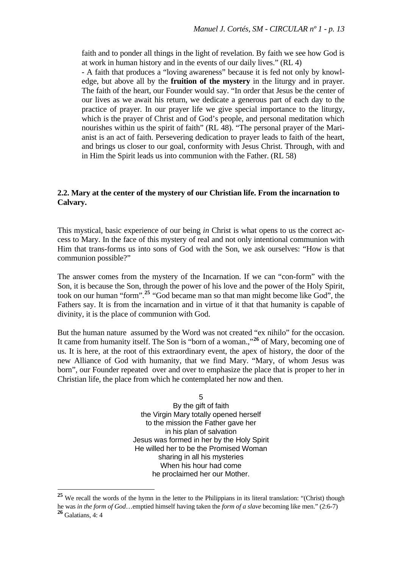faith and to ponder all things in the light of revelation. By faith we see how God is at work in human history and in the events of our daily lives." (RL 4)

- A faith that produces a "loving awareness" because it is fed not only by knowledge, but above all by the **fruition of the mystery** in the liturgy and in prayer. The faith of the heart, our Founder would say. "In order that Jesus be the center of our lives as we await his return, we dedicate a generous part of each day to the practice of prayer. In our prayer life we give special importance to the liturgy, which is the prayer of Christ and of God's people, and personal meditation which nourishes within us the spirit of faith" (RL 48). "The personal prayer of the Marianist is an act of faith. Persevering dedication to prayer leads to faith of the heart, and brings us closer to our goal, conformity with Jesus Christ. Through, with and in Him the Spirit leads us into communion with the Father. (RL 58)

#### **2.2. Mary at the center of the mystery of our Christian life. From the incarnation to Calvary.**

This mystical, basic experience of our being *in* Christ is what opens to us the correct access to Mary. In the face of this mystery of real and not only intentional communion with Him that trans-forms us into sons of God with the Son, we ask ourselves: "How is that communion possible?"

The answer comes from the mystery of the Incarnation. If we can "con-form" with the Son, it is because the Son, through the power of his love and the power of the Holy Spirit, took on our human "form".**[25](#page-13-0)** "God became man so that man might become like God", the Fathers say. It is from the incarnation and in virtue of it that that humanity is capable of divinity, it is the place of communion with God.

But the human nature assumed by the Word was not created "ex nihilo" for the occasion. It came from humanity itself. The Son is "born of a woman.,"<sup>[26](#page-13-1)</sup> of Mary, becoming one of us. It is here, at the root of this extraordinary event, the apex of history, the door of the new Alliance of God with humanity, that we find Mary. "Mary, of whom Jesus was born", our Founder repeated over and over to emphasize the place that is proper to her in Christian life, the place from which he contemplated her now and then.

> 5 By the gift of faith the Virgin Mary totally opened herself to the mission the Father gave her in his plan of salvation Jesus was formed in her by the Holy Spirit He willed her to be the Promised Woman sharing in all his mysteries When his hour had come he proclaimed her our Mother.

<span id="page-13-0"></span>**<sup>25</sup>** We recall the words of the hymn in the letter to the Philippians in its literal translation: "(Christ) though he was *in the form of God*…emptied himself having taken the *form of a slave* becoming like men." (2:6-7)

<span id="page-13-1"></span>**<sup>26</sup>** Galatians, 4: 4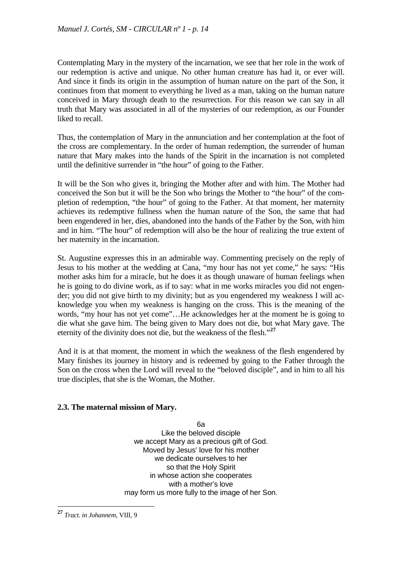Contemplating Mary in the mystery of the incarnation, we see that her role in the work of our redemption is active and unique. No other human creature has had it, or ever will. And since it finds its origin in the assumption of human nature on the part of the Son, it continues from that moment to everything he lived as a man, taking on the human nature conceived in Mary through death to the resurrection. For this reason we can say in all truth that Mary was associated in all of the mysteries of our redemption, as our Founder liked to recall.

Thus, the contemplation of Mary in the annunciation and her contemplation at the foot of the cross are complementary. In the order of human redemption, the surrender of human nature that Mary makes into the hands of the Spirit in the incarnation is not completed until the definitive surrender in "the hour" of going to the Father.

It will be the Son who gives it, bringing the Mother after and with him. The Mother had conceived the Son but it will be the Son who brings the Mother to "the hour" of the completion of redemption, "the hour" of going to the Father. At that moment, her maternity achieves its redemptive fullness when the human nature of the Son, the same that had been engendered in her, dies, abandoned into the hands of the Father by the Son, with him and in him. "The hour" of redemption will also be the hour of realizing the true extent of her maternity in the incarnation.

St. Augustine expresses this in an admirable way. Commenting precisely on the reply of Jesus to his mother at the wedding at Cana, "my hour has not yet come," he says: "His mother asks him for a miracle, but he does it as though unaware of human feelings when he is going to do divine work, as if to say: what in me works miracles you did not engender; you did not give birth to my divinity; but as you engendered my weakness I will acknowledge you when my weakness is hanging on the cross. This is the meaning of the words, "my hour has not yet come"…He acknowledges her at the moment he is going to die what she gave him. The being given to Mary does not die, but what Mary gave. The eternity of the divinity does not die, but the weakness of the flesh."**[27](#page-14-0)**

And it is at that moment, the moment in which the weakness of the flesh engendered by Mary finishes its journey in history and is redeemed by going to the Father through the Son on the cross when the Lord will reveal to the "beloved disciple", and in him to all his true disciples, that she is the Woman, the Mother.

# **2.3. The maternal mission of Mary.**

6a Like the beloved disciple we accept Mary as a precious gift of God. Moved by Jesus' love for his mother we dedicate ourselves to her so that the Holy Spirit in whose action she cooperates with a mother's love may form us more fully to the image of her Son.

<span id="page-14-0"></span>**<sup>27</sup>** *Tract. in Johannem*, VIII, 9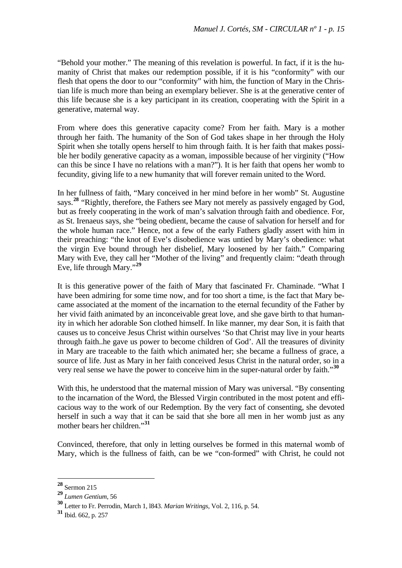"Behold your mother." The meaning of this revelation is powerful. In fact, if it is the humanity of Christ that makes our redemption possible, if it is his "conformity" with our flesh that opens the door to our "conformity" with him, the function of Mary in the Christian life is much more than being an exemplary believer. She is at the generative center of this life because she is a key participant in its creation, cooperating with the Spirit in a generative, maternal way.

From where does this generative capacity come? From her faith. Mary is a mother through her faith. The humanity of the Son of God takes shape in her through the Holy Spirit when she totally opens herself to him through faith. It is her faith that makes possible her bodily generative capacity as a woman, impossible because of her virginity ("How can this be since I have no relations with a man?"). It is her faith that opens her womb to fecundity, giving life to a new humanity that will forever remain united to the Word.

In her fullness of faith, "Mary conceived in her mind before in her womb" St. Augustine says.**[28](#page-15-0)** "Rightly, therefore, the Fathers see Mary not merely as passively engaged by God, but as freely cooperating in the work of man's salvation through faith and obedience. For, as St. Irenaeus says, she "being obedient, became the cause of salvation for herself and for the whole human race." Hence, not a few of the early Fathers gladly assert with him in their preaching: "the knot of Eve's disobedience was untied by Mary's obedience: what the virgin Eve bound through her disbelief, Mary loosened by her faith." Comparing Mary with Eve, they call her "Mother of the living" and frequently claim: "death through Eve, life through Mary."**[29](#page-15-1)**

It is this generative power of the faith of Mary that fascinated Fr. Chaminade. "What I have been admiring for some time now, and for too short a time, is the fact that Mary became associated at the moment of the incarnation to the eternal fecundity of the Father by her vivid faith animated by an inconceivable great love, and she gave birth to that humanity in which her adorable Son clothed himself. In like manner, my dear Son, it is faith that causes us to conceive Jesus Christ within ourselves 'So that Christ may live in your hearts through faith..he gave us power to become children of God'. All the treasures of divinity in Mary are traceable to the faith which animated her; she became a fullness of grace, a source of life. Just as Mary in her faith conceived Jesus Christ in the natural order, so in a very real sense we have the power to conceive him in the super-natural order by faith."**[30](#page-15-2)**

With this, he understood that the maternal mission of Mary was universal. "By consenting to the incarnation of the Word, the Blessed Virgin contributed in the most potent and efficacious way to the work of our Redemption. By the very fact of consenting, she devoted herself in such a way that it can be said that she bore all men in her womb just as any mother bears her children."**[31](#page-15-3)**

Convinced, therefore, that only in letting ourselves be formed in this maternal womb of Mary, which is the fullness of faith, can be we "con-formed" with Christ, he could not

**<sup>28</sup>** Sermon 215

<span id="page-15-1"></span><span id="page-15-0"></span>**<sup>29</sup>** *Lumen Gentium*, 56

<span id="page-15-2"></span>**<sup>30</sup>** Letter to Fr. Perrodin, March 1, l843. *Marian Writings*, Vol. 2, 116, p. 54.

<span id="page-15-3"></span>**<sup>31</sup>** Ibid. 662, p. 257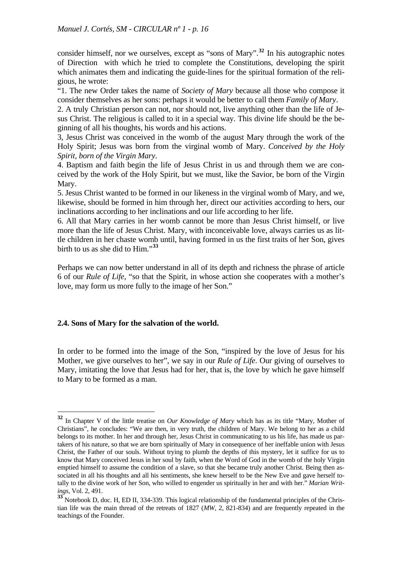consider himself, nor we ourselves, except as "sons of Mary".**[32](#page-16-0)** In his autographic notes of Direction with which he tried to complete the Constitutions, developing the spirit which animates them and indicating the guide-lines for the spiritual formation of the religious, he wrote:

"1. The new Order takes the name of *Society of Mary* because all those who compose it consider themselves as her sons: perhaps it would be better to call them *Family of Mary*.

2. A truly Christian person can not, nor should not, live anything other than the life of Jesus Christ. The religious is called to it in a special way. This divine life should be the beginning of all his thoughts, his words and his actions.

3, Jesus Christ was conceived in the womb of the august Mary through the work of the Holy Spirit; Jesus was born from the virginal womb of Mary. *Conceived by the Holy Spirit, born of the Virgin Mary*.

4. Baptism and faith begin the life of Jesus Christ in us and through them we are conceived by the work of the Holy Spirit, but we must, like the Savior, be born of the Virgin Mary.

5. Jesus Christ wanted to be formed in our likeness in the virginal womb of Mary, and we, likewise, should be formed in him through her, direct our activities according to hers, our inclinations according to her inclinations and our life according to her life.

6. All that Mary carries in her womb cannot be more than Jesus Christ himself, or live more than the life of Jesus Christ. Mary, with inconceivable love, always carries us as little children in her chaste womb until, having formed in us the first traits of her Son, gives birth to us as she did to Him."**[33](#page-16-1)**

Perhaps we can now better understand in all of its depth and richness the phrase of article 6 of our *Rule of Life*, "so that the Spirit, in whose action she cooperates with a mother's love, may form us more fully to the image of her Son."

#### **2.4. Sons of Mary for the salvation of the world.**

1

In order to be formed into the image of the Son, "inspired by the love of Jesus for his Mother, we give ourselves to her", we say in our *Rule of Life*. Our giving of ourselves to Mary, imitating the love that Jesus had for her, that is, the love by which he gave himself to Mary to be formed as a man.

<span id="page-16-0"></span>**<sup>32</sup>** In Chapter V of the little treatise on *Our Knowledge of Mary* which has as its title "Mary, Mother of Christians", he concludes: "We are then, in very truth, the children of Mary. We belong to her as a child belongs to its mother. In her and through her, Jesus Christ in communicating to us his life, has made us partakers of his nature, so that we are born spiritually of Mary in consequence of her ineffable union with Jesus Christ, the Father of our souls. Without trying to plumb the depths of this mystery, let it suffice for us to know that Mary conceived Jesus in her soul by faith, when the Word of God in the womb of the holy Virgin emptied himself to assume the condition of a slave, so that she became truly another Christ. Being then associated in all his thoughts and all his sentiments, she knew herself to be the New Eve and gave herself totally to the divine work of her Son, who willed to engender us spiritually in her and with her." *Marian Writings*, Vol. 2, 491.

<span id="page-16-1"></span><sup>&</sup>lt;sup>33</sup> Notebook D, doc. H, ED II, 334-339. This logical relationship of the fundamental principles of the Christian life was the main thread of the retreats of 1827 (*MW*, 2, 821-834) and are frequently repeated in the teachings of the Founder.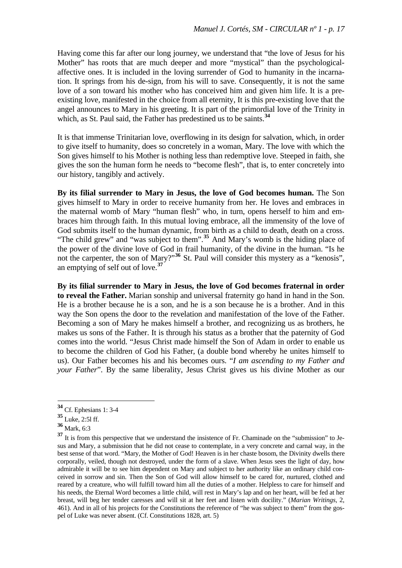Having come this far after our long journey, we understand that "the love of Jesus for his Mother" has roots that are much deeper and more "mystical" than the psychologicalaffective ones. It is included in the loving surrender of God to humanity in the incarnation. It springs from his de-sign, from his will to save. Consequently, it is not the same love of a son toward his mother who has conceived him and given him life. It is a preexisting love, manifested in the choice from all eternity, It is this pre-existing love that the angel announces to Mary in his greeting. It is part of the primordial love of the Trinity in which, as St. Paul said, the Father has predestined us to be saints.**[34](#page-17-0)**

It is that immense Trinitarian love, overflowing in its design for salvation, which, in order to give itself to humanity, does so concretely in a woman, Mary. The love with which the Son gives himself to his Mother is nothing less than redemptive love. Steeped in faith, she gives the son the human form he needs to "become flesh", that is, to enter concretely into our history, tangibly and actively.

**By its filial surrender to Mary in Jesus, the love of God becomes human.** The Son gives himself to Mary in order to receive humanity from her. He loves and embraces in the maternal womb of Mary "human flesh" who, in turn, opens herself to him and embraces him through faith. In this mutual loving embrace, all the immensity of the love of God submits itself to the human dynamic, from birth as a child to death, death on a cross. "The child grew" and "was subject to them".**[35](#page-17-1)** And Mary's womb is the hiding place of the power of the divine love of God in frail humanity, of the divine in the human. "Is he not the carpenter, the son of Mary?"<sup>[36](#page-17-2)</sup> St. Paul will consider this mystery as a "kenosis", an emptying of self out of love.**[37](#page-17-3)**

**By its filial surrender to Mary in Jesus, the love of God becomes fraternal in order to reveal the Father.** Marian sonship and universal fraternity go hand in hand in the Son. He is a brother because he is a son, and he is a son because he is a brother. And in this way the Son opens the door to the revelation and manifestation of the love of the Father. Becoming a son of Mary he makes himself a brother, and recognizing us as brothers, he makes us sons of the Father. It is through his status as a brother that the paternity of God comes into the world. "Jesus Christ made himself the Son of Adam in order to enable us to become the children of God his Father, (a double bond whereby he unites himself to us). Our Father becomes his and his becomes ours. "*I am ascending to my Father and your Father*". By the same liberality, Jesus Christ gives us his divine Mother as our

<span id="page-17-0"></span>**<sup>34</sup>** Cf. Ephesians 1: 3-4

**<sup>35</sup>** Luke, 2:5l ff.

<span id="page-17-2"></span><span id="page-17-1"></span>**<sup>36</sup>** Mark, 6:3

<span id="page-17-3"></span><sup>&</sup>lt;sup>37</sup> It is from this perspective that we understand the insistence of Fr. Chaminade on the "submission" to Jesus and Mary, a submission that he did not cease to contemplate, in a very concrete and carnal way, in the best sense of that word. "Mary, the Mother of God! Heaven is in her chaste bosom, the Divinity dwells there corporally, veiled, though not destroyed, under the form of a slave. When Jesus sees the light of day, how admirable it will be to see him dependent on Mary and subject to her authority like an ordinary child conceived in sorrow and sin. Then the Son of God will allow himself to be cared for, nurtured, clothed and reared by a creature, who will fulfill toward him all the duties of a mother. Helpless to care for himself and his needs, the Eternal Word becomes a little child, will rest in Mary's lap and on her heart, will be fed at her breast, will beg her tender caresses and will sit at her feet and listen with docility." (*Marian Writings*, 2, 461). And in all of his projects for the Constitutions the reference of "he was subject to them" from the gospel of Luke was never absent. (Cf. Constitutions 1828, art. 5)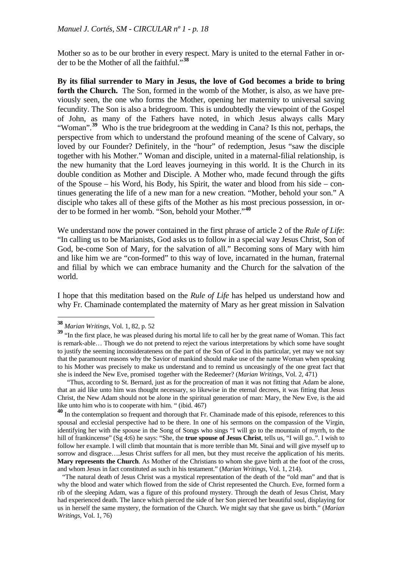Mother so as to be our brother in every respect. Mary is united to the eternal Father in order to be the Mother of all the faithful."**[38](#page-18-0)**

**By its filial surrender to Mary in Jesus, the love of God becomes a bride to bring forth the Church.** The Son, formed in the womb of the Mother, is also, as we have previously seen, the one who forms the Mother, opening her maternity to universal saving fecundity. The Son is also a bridegroom. This is undoubtedly the viewpoint of the Gospel of John, as many of the Fathers have noted, in which Jesus always calls Mary "Woman".<sup>[39](#page-18-1)</sup> Who is the true bridegroom at the wedding in Cana? Is this not, perhaps, the perspective from which to understand the profound meaning of the scene of Calvary, so loved by our Founder? Definitely, in the "hour" of redemption, Jesus "saw the disciple together with his Mother." Woman and disciple, united in a maternal-filial relationship, is the new humanity that the Lord leaves journeying in this world. It is the Church in its double condition as Mother and Disciple. A Mother who, made fecund through the gifts of the Spouse – his Word, his Body, his Spirit, the water and blood from his side – continues generating the life of a new man for a new creation. "Mother, behold your son." A disciple who takes all of these gifts of the Mother as his most precious possession, in order to be formed in her womb. "Son, behold your Mother."**[40](#page-18-2)**

We understand now the power contained in the first phrase of article 2 of the *Rule of Life*: "In calling us to be Marianists, God asks us to follow in a special way Jesus Christ, Son of God, be-come Son of Mary, for the salvation of all." Becoming sons of Mary with him and like him we are "con-formed" to this way of love, incarnated in the human, fraternal and filial by which we can embrace humanity and the Church for the salvation of the world.

I hope that this meditation based on the *Rule of Life* has helped us understand how and why Fr. Chaminade contemplated the maternity of Mary as her great mission in Salvation

**<sup>38</sup>** *Marian Writings*, Vol. 1, 82, p. 52

<span id="page-18-1"></span><span id="page-18-0"></span><sup>&</sup>lt;sup>39</sup> "In the first place, he was pleased during his mortal life to call her by the great name of Woman. This fact is remark-able… Though we do not pretend to reject the various interpretations by which some have sought to justify the seeming inconsiderateness on the part of the Son of God in this particular, yet may we not say that the paramount reasons why the Savior of mankind should make use of the name Woman when speaking to his Mother was precisely to make us understand and to remind us unceasingly of the one great fact that she is indeed the New Eve, promised together with the Redeemer? (*Marian Writings*, Vol. 2, 471)

 <sup>&</sup>quot;Thus, according to St. Bernard, just as for the procreation of man it was not fitting that Adam be alone, that an aid like unto him was thought necessary, so likewise in the eternal decrees, it was fitting that Jesus Christ, the New Adam should not be alone in the spiritual generation of man: Mary, the New Eve, is the aid like unto him who is to cooperate with him. " (ibid. 467)

<span id="page-18-2"></span>**<sup>40</sup>** In the contemplation so frequent and thorough that Fr. Chaminade made of this episode, references to this spousal and ecclesial perspective had to be there. In one of his sermons on the compassion of the Virgin, identifying her with the spouse in the Song of Songs who sings "I will go to the mountain of myrrh, to the hill of frankincense" (Sg 4:6) he says: "She, the **true spouse of Jesus Christ**, tells us, "I will go..". I wish to follow her example. I will climb that mountain that is more terrible than Mt. Sinai and will give myself up to sorrow and disgrace....Jesus Christ suffers for all men, but they must receive the application of his merits. **Mary represents the Church**. As Mother of the Christians to whom she gave birth at the foot of the cross, and whom Jesus in fact constituted as such in his testament." (*Marian Writings*, Vol. 1, 214).

 <sup>&</sup>quot;The natural death of Jesus Christ was a mystical representation of the death of the "old man" and that is why the blood and water which flowed from the side of Christ represented the Church. Eve, formed form a rib of the sleeping Adam, was a figure of this profound mystery. Through the death of Jesus Christ, Mary had experienced death. The lance which pierced the side of her Son pierced her beautiful soul, displaying for us in herself the same mystery, the formation of the Church. We might say that she gave us birth." (*Marian Writings*, Vol. 1, 76)